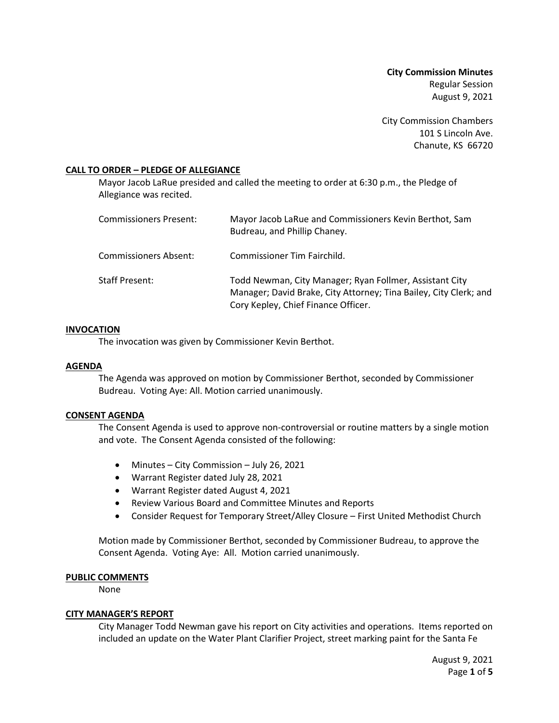**City Commission Minutes** Regular Session August 9, 2021

City Commission Chambers 101 S Lincoln Ave. Chanute, KS 66720

### **CALL TO ORDER – PLEDGE OF ALLEGIANCE**

Mayor Jacob LaRue presided and called the meeting to order at 6:30 p.m., the Pledge of Allegiance was recited.

| Commissioners Present: | Mayor Jacob LaRue and Commissioners Kevin Berthot, Sam<br>Budreau, and Phillip Chaney.                                                                              |
|------------------------|---------------------------------------------------------------------------------------------------------------------------------------------------------------------|
| Commissioners Absent:  | Commissioner Tim Fairchild.                                                                                                                                         |
| Staff Present:         | Todd Newman, City Manager; Ryan Follmer, Assistant City<br>Manager; David Brake, City Attorney; Tina Bailey, City Clerk; and<br>Cory Kepley, Chief Finance Officer. |

### **INVOCATION**

The invocation was given by Commissioner Kevin Berthot.

### **AGENDA**

The Agenda was approved on motion by Commissioner Berthot, seconded by Commissioner Budreau. Voting Aye: All. Motion carried unanimously.

### **CONSENT AGENDA**

The Consent Agenda is used to approve non-controversial or routine matters by a single motion and vote. The Consent Agenda consisted of the following:

- Minutes City Commission July 26, 2021
- Warrant Register dated July 28, 2021
- Warrant Register dated August 4, 2021
- Review Various Board and Committee Minutes and Reports
- Consider Request for Temporary Street/Alley Closure First United Methodist Church

Motion made by Commissioner Berthot, seconded by Commissioner Budreau, to approve the Consent Agenda. Voting Aye: All. Motion carried unanimously.

### **PUBLIC COMMENTS**

None

### **CITY MANAGER'S REPORT**

City Manager Todd Newman gave his report on City activities and operations. Items reported on included an update on the Water Plant Clarifier Project, street marking paint for the Santa Fe

> August 9, 2021 Page **1** of **5**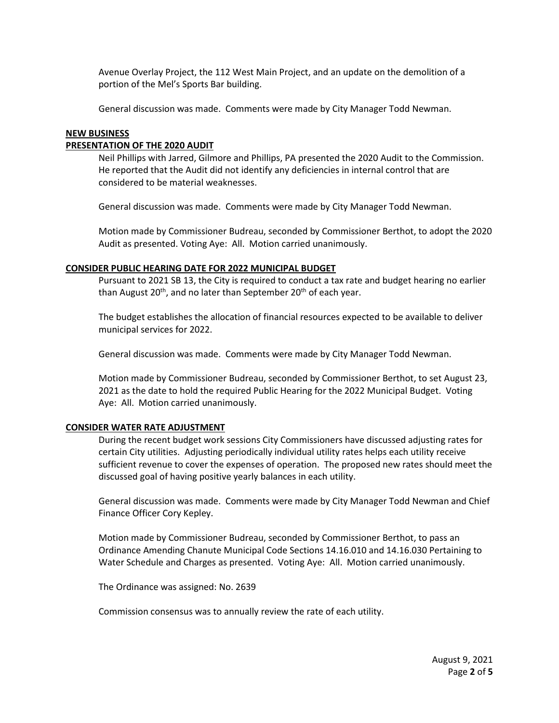Avenue Overlay Project, the 112 West Main Project, and an update on the demolition of a portion of the Mel's Sports Bar building.

General discussion was made. Comments were made by City Manager Todd Newman.

### **NEW BUSINESS**

### **PRESENTATION OF THE 2020 AUDIT**

Neil Phillips with Jarred, Gilmore and Phillips, PA presented the 2020 Audit to the Commission. He reported that the Audit did not identify any deficiencies in internal control that are considered to be material weaknesses.

General discussion was made. Comments were made by City Manager Todd Newman.

Motion made by Commissioner Budreau, seconded by Commissioner Berthot, to adopt the 2020 Audit as presented. Voting Aye: All. Motion carried unanimously.

#### **CONSIDER PUBLIC HEARING DATE FOR 2022 MUNICIPAL BUDGET**

Pursuant to 2021 SB 13, the City is required to conduct a tax rate and budget hearing no earlier than August 20<sup>th</sup>, and no later than September 20<sup>th</sup> of each year.

The budget establishes the allocation of financial resources expected to be available to deliver municipal services for 2022.

General discussion was made. Comments were made by City Manager Todd Newman.

Motion made by Commissioner Budreau, seconded by Commissioner Berthot, to set August 23, 2021 as the date to hold the required Public Hearing for the 2022 Municipal Budget. Voting Aye: All. Motion carried unanimously.

#### **CONSIDER WATER RATE ADJUSTMENT**

During the recent budget work sessions City Commissioners have discussed adjusting rates for certain City utilities. Adjusting periodically individual utility rates helps each utility receive sufficient revenue to cover the expenses of operation. The proposed new rates should meet the discussed goal of having positive yearly balances in each utility.

General discussion was made. Comments were made by City Manager Todd Newman and Chief Finance Officer Cory Kepley.

Motion made by Commissioner Budreau, seconded by Commissioner Berthot, to pass an Ordinance Amending Chanute Municipal Code Sections 14.16.010 and 14.16.030 Pertaining to Water Schedule and Charges as presented. Voting Aye: All. Motion carried unanimously.

The Ordinance was assigned: No. 2639

Commission consensus was to annually review the rate of each utility.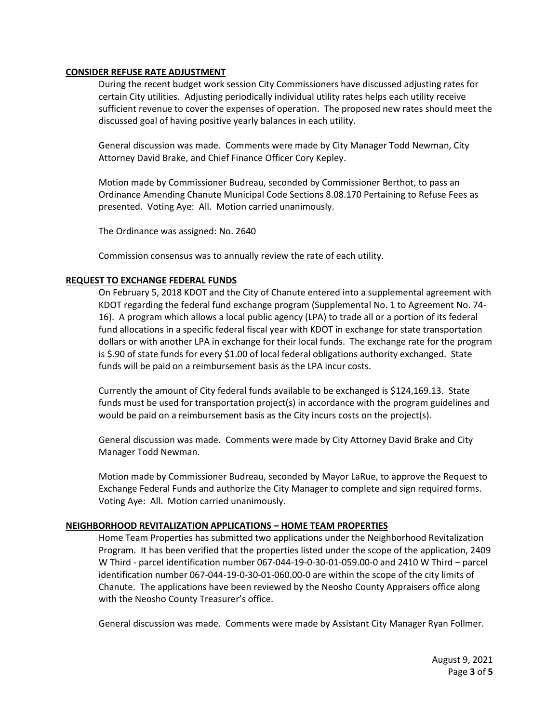### **CONSIDER REFUSE RATE ADJUSTMENT**

During the recent budget work session City Commissioners have discussed adjusting rates for certain City utilities. Adjusting periodically individual utility rates helps each utility receive sufficient revenue to cover the expenses of operation. The proposed new rates should meet the discussed goal of having positive yearly balances in each utility.

General discussion was made. Comments were made by City Manager Todd Newman, City Attorney David Brake, and Chief Finance Officer Cory Kepley.

Motion made by Commissioner Budreau, seconded by Commissioner Berthot, to pass an Ordinance Amending Chanute Municipal Code Sections 8.08.170 Pertaining to Refuse Fees as presented. Voting Aye: All. Motion carried unanimously.

The Ordinance was assigned: No. 2640

Commission consensus was to annually review the rate of each utility.

### **REQUEST TO EXCHANGE FEDERAL FUNDS**

On February 5, 2018 KDOT and the City of Chanute entered into a supplemental agreement with KDOT regarding the federal fund exchange program (Supplemental No. 1 to Agreement No. 74- 16). A program which allows a local public agency (LPA) to trade all or a portion of its federal fund allocations in a specific federal fiscal year with KDOT in exchange for state transportation dollars or with another LPA in exchange for their local funds. The exchange rate for the program is \$.90 of state funds for every \$1.00 of local federal obligations authority exchanged. State funds will be paid on a reimbursement basis as the LPA incur costs.

Currently the amount of City federal funds available to be exchanged is \$124,169.13. State funds must be used for transportation project(s) in accordance with the program guidelines and would be paid on a reimbursement basis as the City incurs costs on the project(s).

General discussion was made. Comments were made by City Attorney David Brake and City Manager Todd Newman.

Motion made by Commissioner Budreau, seconded by Mayor LaRue, to approve the Request to Exchange Federal Funds and authorize the City Manager to complete and sign required forms. Voting Aye: All. Motion carried unanimously.

### **NEIGHBORHOOD REVITALIZATION APPLICATIONS – HOME TEAM PROPERTIES**

Home Team Properties has submitted two applications under the Neighborhood Revitalization Program. It has been verified that the properties listed under the scope of the application, 2409 W Third - parcel identification number 067-044-19-0-30-01-059.00-0 and 2410 W Third – parcel identification number 067-044-19-0-30-01-060.00-0 are within the scope of the city limits of Chanute. The applications have been reviewed by the Neosho County Appraisers office along with the Neosho County Treasurer's office.

General discussion was made. Comments were made by Assistant City Manager Ryan Follmer.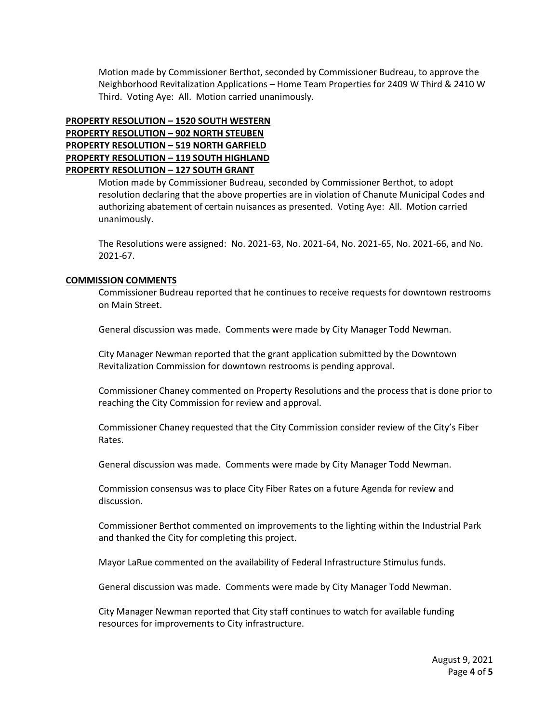Motion made by Commissioner Berthot, seconded by Commissioner Budreau, to approve the Neighborhood Revitalization Applications – Home Team Properties for 2409 W Third & 2410 W Third. Voting Aye: All. Motion carried unanimously.

## **PROPERTY RESOLUTION – 1520 SOUTH WESTERN PROPERTY RESOLUTION – 902 NORTH STEUBEN PROPERTY RESOLUTION – 519 NORTH GARFIELD PROPERTY RESOLUTION – 119 SOUTH HIGHLAND PROPERTY RESOLUTION – 127 SOUTH GRANT**

Motion made by Commissioner Budreau, seconded by Commissioner Berthot, to adopt resolution declaring that the above properties are in violation of Chanute Municipal Codes and authorizing abatement of certain nuisances as presented. Voting Aye: All. Motion carried unanimously.

The Resolutions were assigned: No. 2021-63, No. 2021-64, No. 2021-65, No. 2021-66, and No. 2021-67.

### **COMMISSION COMMENTS**

Commissioner Budreau reported that he continues to receive requests for downtown restrooms on Main Street.

General discussion was made. Comments were made by City Manager Todd Newman.

City Manager Newman reported that the grant application submitted by the Downtown Revitalization Commission for downtown restrooms is pending approval.

Commissioner Chaney commented on Property Resolutions and the process that is done prior to reaching the City Commission for review and approval.

Commissioner Chaney requested that the City Commission consider review of the City's Fiber Rates.

General discussion was made. Comments were made by City Manager Todd Newman.

Commission consensus was to place City Fiber Rates on a future Agenda for review and discussion.

Commissioner Berthot commented on improvements to the lighting within the Industrial Park and thanked the City for completing this project.

Mayor LaRue commented on the availability of Federal Infrastructure Stimulus funds.

General discussion was made. Comments were made by City Manager Todd Newman.

City Manager Newman reported that City staff continues to watch for available funding resources for improvements to City infrastructure.